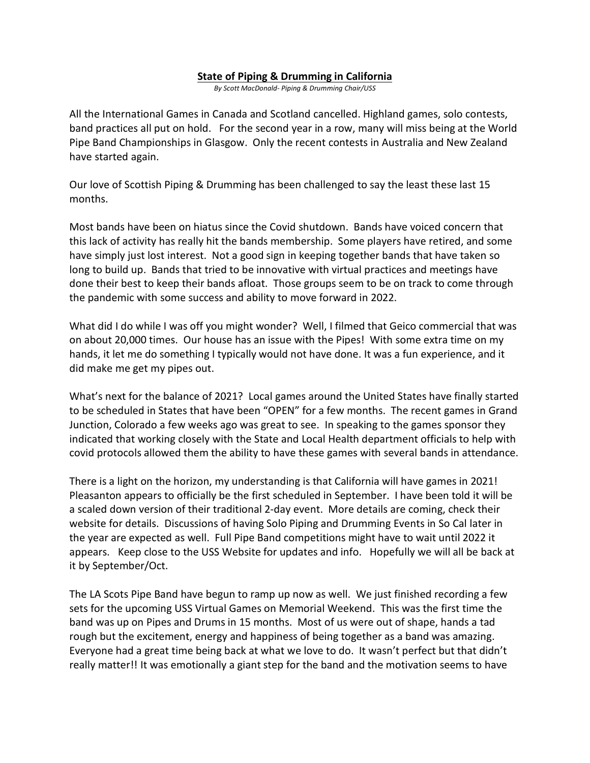## **State of Piping & Drumming in California**

*By Scott MacDonald- Piping & Drumming Chair/USS*

All the International Games in Canada and Scotland cancelled. Highland games, solo contests, band practices all put on hold. For the second year in a row, many will miss being at the World Pipe Band Championships in Glasgow. Only the recent contests in Australia and New Zealand have started again.

Our love of Scottish Piping & Drumming has been challenged to say the least these last 15 months.

Most bands have been on hiatus since the Covid shutdown. Bands have voiced concern that this lack of activity has really hit the bands membership. Some players have retired, and some have simply just lost interest. Not a good sign in keeping together bands that have taken so long to build up. Bands that tried to be innovative with virtual practices and meetings have done their best to keep their bands afloat. Those groups seem to be on track to come through the pandemic with some success and ability to move forward in 2022.

What did I do while I was off you might wonder? Well, I filmed that Geico commercial that was on about 20,000 times. Our house has an issue with the Pipes! With some extra time on my hands, it let me do something I typically would not have done. It was a fun experience, and it did make me get my pipes out.

What's next for the balance of 2021? Local games around the United States have finally started to be scheduled in States that have been "OPEN" for a few months. The recent games in Grand Junction, Colorado a few weeks ago was great to see. In speaking to the games sponsor they indicated that working closely with the State and Local Health department officials to help with covid protocols allowed them the ability to have these games with several bands in attendance.

There is a light on the horizon, my understanding is that California will have games in 2021! Pleasanton appears to officially be the first scheduled in September. I have been told it will be a scaled down version of their traditional 2-day event. More details are coming, check their website for details. Discussions of having Solo Piping and Drumming Events in So Cal later in the year are expected as well. Full Pipe Band competitions might have to wait until 2022 it appears. Keep close to the USS Website for updates and info. Hopefully we will all be back at it by September/Oct.

The LA Scots Pipe Band have begun to ramp up now as well. We just finished recording a few sets for the upcoming USS Virtual Games on Memorial Weekend. This was the first time the band was up on Pipes and Drums in 15 months. Most of us were out of shape, hands a tad rough but the excitement, energy and happiness of being together as a band was amazing. Everyone had a great time being back at what we love to do. It wasn't perfect but that didn't really matter!! It was emotionally a giant step for the band and the motivation seems to have